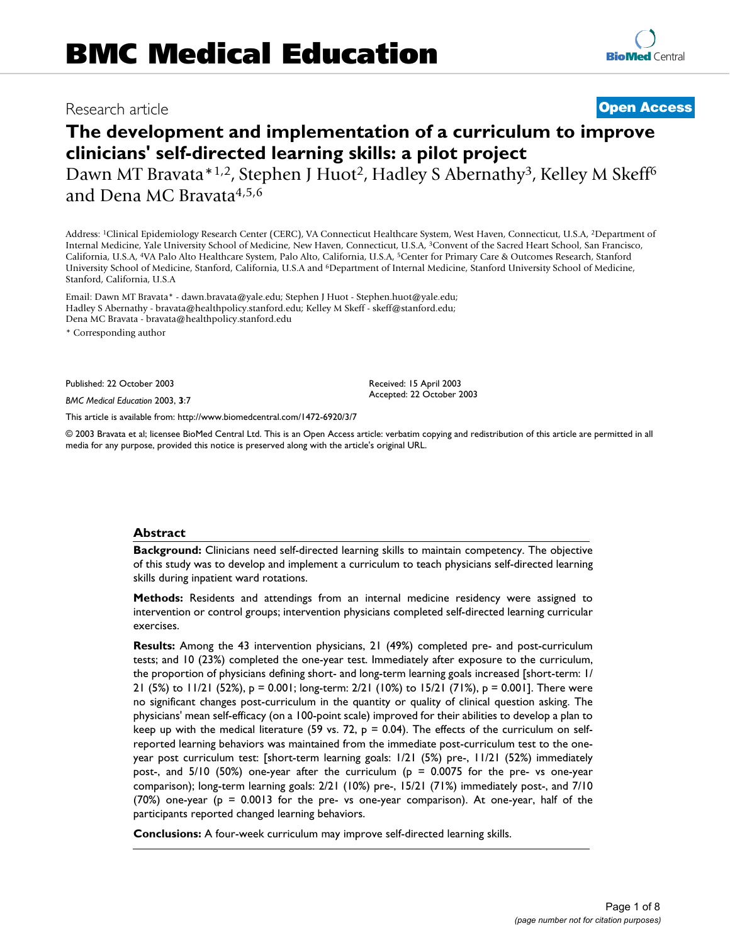# Research article **[Open Access](http://www.biomedcentral.com/info/about/charter/)**

# **[BioMed](http://www.biomedcentral.com/)** Central

**The development and implementation of a curriculum to improve clinicians' self-directed learning skills: a pilot project** Dawn MT Bravata\*1,2, Stephen J Huot<sup>2</sup>, Hadley S Abernathy<sup>3</sup>, Kelley M Skeff<sup>6</sup>

and Dena MC Bravata4,5,6

Address: 1Clinical Epidemiology Research Center (CERC), VA Connecticut Healthcare System, West Haven, Connecticut, U.S.A, 2Department of Internal Medicine, Yale University School of Medicine, New Haven, Connecticut, U.S.A, 3Convent of the Sacred Heart School, San Francisco, California, U.S.A, 4VA Palo Alto Healthcare System, Palo Alto, California, U.S.A, 5Center for Primary Care & Outcomes Research, Stanford University School of Medicine, Stanford, California, U.S.A and 6Department of Internal Medicine, Stanford University School of Medicine, Stanford, California, U.S.A

Email: Dawn MT Bravata\* - dawn.bravata@yale.edu; Stephen J Huot - Stephen.huot@yale.edu; Hadley S Abernathy - bravata@healthpolicy.stanford.edu; Kelley M Skeff - skeff@stanford.edu; Dena MC Bravata - bravata@healthpolicy.stanford.edu

\* Corresponding author

Published: 22 October 2003

*BMC Medical Education* 2003, **3**:7

[This article is available from: http://www.biomedcentral.com/1472-6920/3/7](http://www.biomedcentral.com/1472-6920/3/7)

© 2003 Bravata et al; licensee BioMed Central Ltd. This is an Open Access article: verbatim copying and redistribution of this article are permitted in all media for any purpose, provided this notice is preserved along with the article's original URL.

Received: 15 April 2003 Accepted: 22 October 2003

# **Abstract**

**Background:** Clinicians need self-directed learning skills to maintain competency. The objective of this study was to develop and implement a curriculum to teach physicians self-directed learning skills during inpatient ward rotations.

**Methods:** Residents and attendings from an internal medicine residency were assigned to intervention or control groups; intervention physicians completed self-directed learning curricular exercises.

**Results:** Among the 43 intervention physicians, 21 (49%) completed pre- and post-curriculum tests; and 10 (23%) completed the one-year test. Immediately after exposure to the curriculum, the proportion of physicians defining short- and long-term learning goals increased [short-term: 1/ 21 (5%) to 11/21 (52%), p = 0.001; long-term: 2/21 (10%) to 15/21 (71%), p = 0.001]. There were no significant changes post-curriculum in the quantity or quality of clinical question asking. The physicians' mean self-efficacy (on a 100-point scale) improved for their abilities to develop a plan to keep up with the medical literature (59 vs. 72,  $p = 0.04$ ). The effects of the curriculum on selfreported learning behaviors was maintained from the immediate post-curriculum test to the oneyear post curriculum test: [short-term learning goals: 1/21 (5%) pre-, 11/21 (52%) immediately post-, and 5/10 (50%) one-year after the curriculum (p = 0.0075 for the pre- vs one-year comparison); long-term learning goals: 2/21 (10%) pre-, 15/21 (71%) immediately post-, and 7/10 (70%) one-year ( $p = 0.0013$  for the pre- vs one-year comparison). At one-year, half of the participants reported changed learning behaviors.

**Conclusions:** A four-week curriculum may improve self-directed learning skills.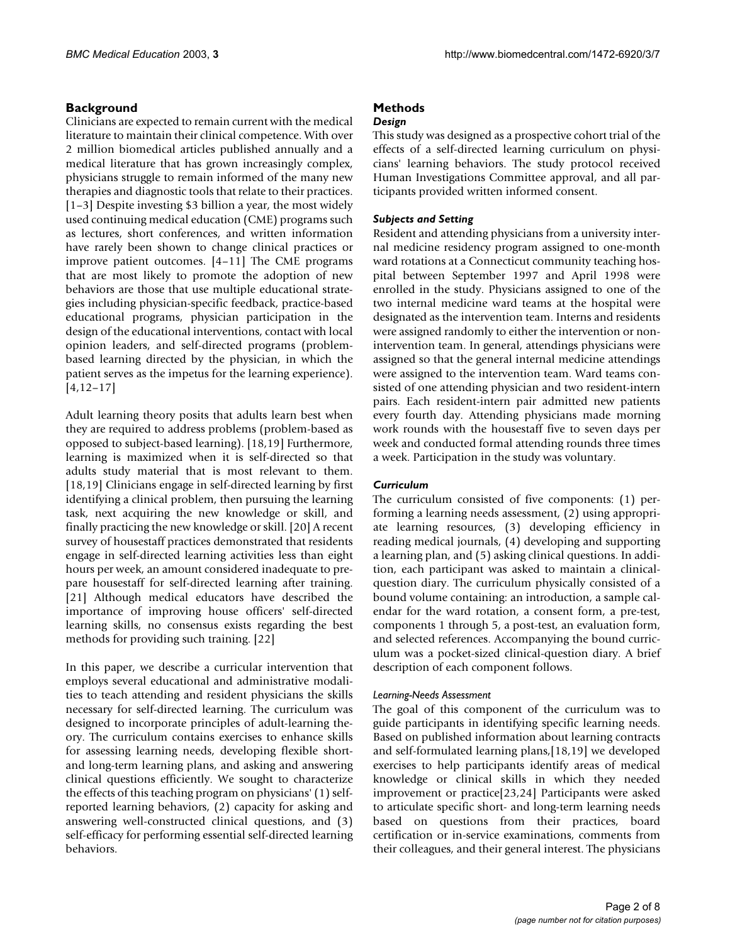# **Background**

Clinicians are expected to remain current with the medical literature to maintain their clinical competence. With over 2 million biomedical articles published annually and a medical literature that has grown increasingly complex, physicians struggle to remain informed of the many new therapies and diagnostic tools that relate to their practices. [1–3] Despite investing \$3 billion a year, the most widely used continuing medical education (CME) programs such as lectures, short conferences, and written information have rarely been shown to change clinical practices or improve patient outcomes. [4–11] The CME programs that are most likely to promote the adoption of new behaviors are those that use multiple educational strategies including physician-specific feedback, practice-based educational programs, physician participation in the design of the educational interventions, contact with local opinion leaders, and self-directed programs (problembased learning directed by the physician, in which the patient serves as the impetus for the learning experience). [4,12–17]

Adult learning theory posits that adults learn best when they are required to address problems (problem-based as opposed to subject-based learning). [18,19] Furthermore, learning is maximized when it is self-directed so that adults study material that is most relevant to them. [18,19] Clinicians engage in self-directed learning by first identifying a clinical problem, then pursuing the learning task, next acquiring the new knowledge or skill, and finally practicing the new knowledge or skill. [20] A recent survey of housestaff practices demonstrated that residents engage in self-directed learning activities less than eight hours per week, an amount considered inadequate to prepare housestaff for self-directed learning after training. [21] Although medical educators have described the importance of improving house officers' self-directed learning skills, no consensus exists regarding the best methods for providing such training. [22]

In this paper, we describe a curricular intervention that employs several educational and administrative modalities to teach attending and resident physicians the skills necessary for self-directed learning. The curriculum was designed to incorporate principles of adult-learning theory. The curriculum contains exercises to enhance skills for assessing learning needs, developing flexible shortand long-term learning plans, and asking and answering clinical questions efficiently. We sought to characterize the effects of this teaching program on physicians' (1) selfreported learning behaviors, (2) capacity for asking and answering well-constructed clinical questions, and (3) self-efficacy for performing essential self-directed learning behaviors.

# **Methods**

# *Design*

This study was designed as a prospective cohort trial of the effects of a self-directed learning curriculum on physicians' learning behaviors. The study protocol received Human Investigations Committee approval, and all participants provided written informed consent.

# *Subjects and Setting*

Resident and attending physicians from a university internal medicine residency program assigned to one-month ward rotations at a Connecticut community teaching hospital between September 1997 and April 1998 were enrolled in the study. Physicians assigned to one of the two internal medicine ward teams at the hospital were designated as the intervention team. Interns and residents were assigned randomly to either the intervention or nonintervention team. In general, attendings physicians were assigned so that the general internal medicine attendings were assigned to the intervention team. Ward teams consisted of one attending physician and two resident-intern pairs. Each resident-intern pair admitted new patients every fourth day. Attending physicians made morning work rounds with the housestaff five to seven days per week and conducted formal attending rounds three times a week. Participation in the study was voluntary.

# *Curriculum*

The curriculum consisted of five components: (1) performing a learning needs assessment, (2) using appropriate learning resources, (3) developing efficiency in reading medical journals, (4) developing and supporting a learning plan, and (5) asking clinical questions. In addition, each participant was asked to maintain a clinicalquestion diary. The curriculum physically consisted of a bound volume containing: an introduction, a sample calendar for the ward rotation, a consent form, a pre-test, components 1 through 5, a post-test, an evaluation form, and selected references. Accompanying the bound curriculum was a pocket-sized clinical-question diary. A brief description of each component follows.

# *Learning-Needs Assessment*

The goal of this component of the curriculum was to guide participants in identifying specific learning needs. Based on published information about learning contracts and self-formulated learning plans,[18,19] we developed exercises to help participants identify areas of medical knowledge or clinical skills in which they needed improvement or practice[23,24] Participants were asked to articulate specific short- and long-term learning needs based on questions from their practices, board certification or in-service examinations, comments from their colleagues, and their general interest. The physicians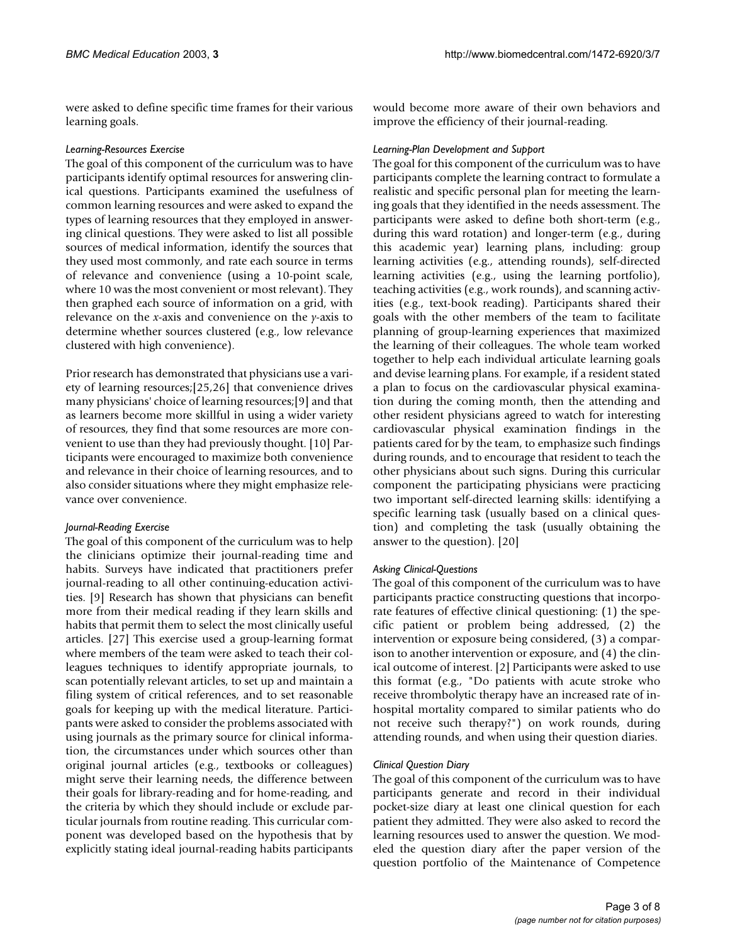were asked to define specific time frames for their various learning goals.

#### *Learning-Resources Exercise*

The goal of this component of the curriculum was to have participants identify optimal resources for answering clinical questions. Participants examined the usefulness of common learning resources and were asked to expand the types of learning resources that they employed in answering clinical questions. They were asked to list all possible sources of medical information, identify the sources that they used most commonly, and rate each source in terms of relevance and convenience (using a 10-point scale, where 10 was the most convenient or most relevant). They then graphed each source of information on a grid, with relevance on the *x*-axis and convenience on the *y*-axis to determine whether sources clustered (e.g., low relevance clustered with high convenience).

Prior research has demonstrated that physicians use a variety of learning resources;[25,26] that convenience drives many physicians' choice of learning resources;[9] and that as learners become more skillful in using a wider variety of resources, they find that some resources are more convenient to use than they had previously thought. [10] Participants were encouraged to maximize both convenience and relevance in their choice of learning resources, and to also consider situations where they might emphasize relevance over convenience.

# *Journal-Reading Exercise*

The goal of this component of the curriculum was to help the clinicians optimize their journal-reading time and habits. Surveys have indicated that practitioners prefer journal-reading to all other continuing-education activities. [9] Research has shown that physicians can benefit more from their medical reading if they learn skills and habits that permit them to select the most clinically useful articles. [27] This exercise used a group-learning format where members of the team were asked to teach their colleagues techniques to identify appropriate journals, to scan potentially relevant articles, to set up and maintain a filing system of critical references, and to set reasonable goals for keeping up with the medical literature. Participants were asked to consider the problems associated with using journals as the primary source for clinical information, the circumstances under which sources other than original journal articles (e.g., textbooks or colleagues) might serve their learning needs, the difference between their goals for library-reading and for home-reading, and the criteria by which they should include or exclude particular journals from routine reading. This curricular component was developed based on the hypothesis that by explicitly stating ideal journal-reading habits participants would become more aware of their own behaviors and improve the efficiency of their journal-reading.

# *Learning-Plan Development and Support*

The goal for this component of the curriculum was to have participants complete the learning contract to formulate a realistic and specific personal plan for meeting the learning goals that they identified in the needs assessment. The participants were asked to define both short-term (e.g., during this ward rotation) and longer-term (e.g., during this academic year) learning plans, including: group learning activities (e.g., attending rounds), self-directed learning activities (e.g., using the learning portfolio), teaching activities (e.g., work rounds), and scanning activities (e.g., text-book reading). Participants shared their goals with the other members of the team to facilitate planning of group-learning experiences that maximized the learning of their colleagues. The whole team worked together to help each individual articulate learning goals and devise learning plans. For example, if a resident stated a plan to focus on the cardiovascular physical examination during the coming month, then the attending and other resident physicians agreed to watch for interesting cardiovascular physical examination findings in the patients cared for by the team, to emphasize such findings during rounds, and to encourage that resident to teach the other physicians about such signs. During this curricular component the participating physicians were practicing two important self-directed learning skills: identifying a specific learning task (usually based on a clinical question) and completing the task (usually obtaining the answer to the question). [20]

# *Asking Clinical-Questions*

The goal of this component of the curriculum was to have participants practice constructing questions that incorporate features of effective clinical questioning: (1) the specific patient or problem being addressed, (2) the intervention or exposure being considered, (3) a comparison to another intervention or exposure, and (4) the clinical outcome of interest. [2] Participants were asked to use this format (e.g., "Do patients with acute stroke who receive thrombolytic therapy have an increased rate of inhospital mortality compared to similar patients who do not receive such therapy?") on work rounds, during attending rounds, and when using their question diaries.

#### *Clinical Question Diary*

The goal of this component of the curriculum was to have participants generate and record in their individual pocket-size diary at least one clinical question for each patient they admitted. They were also asked to record the learning resources used to answer the question. We modeled the question diary after the paper version of the question portfolio of the Maintenance of Competence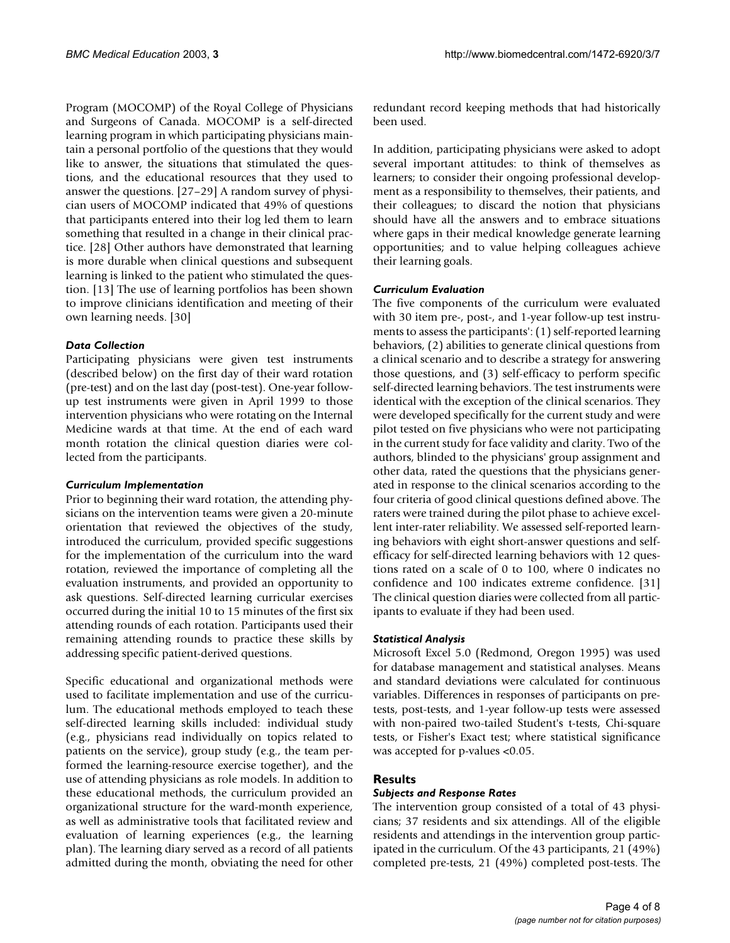Program (MOCOMP) of the Royal College of Physicians and Surgeons of Canada. MOCOMP is a self-directed learning program in which participating physicians maintain a personal portfolio of the questions that they would like to answer, the situations that stimulated the questions, and the educational resources that they used to answer the questions. [27–29] A random survey of physician users of MOCOMP indicated that 49% of questions that participants entered into their log led them to learn something that resulted in a change in their clinical practice. [28] Other authors have demonstrated that learning is more durable when clinical questions and subsequent learning is linked to the patient who stimulated the question. [13] The use of learning portfolios has been shown to improve clinicians identification and meeting of their own learning needs. [30]

# *Data Collection*

Participating physicians were given test instruments (described below) on the first day of their ward rotation (pre-test) and on the last day (post-test). One-year followup test instruments were given in April 1999 to those intervention physicians who were rotating on the Internal Medicine wards at that time. At the end of each ward month rotation the clinical question diaries were collected from the participants.

# *Curriculum Implementation*

Prior to beginning their ward rotation, the attending physicians on the intervention teams were given a 20-minute orientation that reviewed the objectives of the study, introduced the curriculum, provided specific suggestions for the implementation of the curriculum into the ward rotation, reviewed the importance of completing all the evaluation instruments, and provided an opportunity to ask questions. Self-directed learning curricular exercises occurred during the initial 10 to 15 minutes of the first six attending rounds of each rotation. Participants used their remaining attending rounds to practice these skills by addressing specific patient-derived questions.

Specific educational and organizational methods were used to facilitate implementation and use of the curriculum. The educational methods employed to teach these self-directed learning skills included: individual study (e.g., physicians read individually on topics related to patients on the service), group study (e.g., the team performed the learning-resource exercise together), and the use of attending physicians as role models. In addition to these educational methods, the curriculum provided an organizational structure for the ward-month experience, as well as administrative tools that facilitated review and evaluation of learning experiences (e.g., the learning plan). The learning diary served as a record of all patients admitted during the month, obviating the need for other

redundant record keeping methods that had historically been used.

In addition, participating physicians were asked to adopt several important attitudes: to think of themselves as learners; to consider their ongoing professional development as a responsibility to themselves, their patients, and their colleagues; to discard the notion that physicians should have all the answers and to embrace situations where gaps in their medical knowledge generate learning opportunities; and to value helping colleagues achieve their learning goals.

# *Curriculum Evaluation*

The five components of the curriculum were evaluated with 30 item pre-, post-, and 1-year follow-up test instruments to assess the participants': (1) self-reported learning behaviors, (2) abilities to generate clinical questions from a clinical scenario and to describe a strategy for answering those questions, and (3) self-efficacy to perform specific self-directed learning behaviors. The test instruments were identical with the exception of the clinical scenarios. They were developed specifically for the current study and were pilot tested on five physicians who were not participating in the current study for face validity and clarity. Two of the authors, blinded to the physicians' group assignment and other data, rated the questions that the physicians generated in response to the clinical scenarios according to the four criteria of good clinical questions defined above. The raters were trained during the pilot phase to achieve excellent inter-rater reliability. We assessed self-reported learning behaviors with eight short-answer questions and selfefficacy for self-directed learning behaviors with 12 questions rated on a scale of 0 to 100, where 0 indicates no confidence and 100 indicates extreme confidence. [31] The clinical question diaries were collected from all participants to evaluate if they had been used.

# *Statistical Analysis*

Microsoft Excel 5.0 (Redmond, Oregon 1995) was used for database management and statistical analyses. Means and standard deviations were calculated for continuous variables. Differences in responses of participants on pretests, post-tests, and 1-year follow-up tests were assessed with non-paired two-tailed Student's t-tests, Chi-square tests, or Fisher's Exact test; where statistical significance was accepted for p-values <0.05.

# **Results**

# *Subjects and Response Rates*

The intervention group consisted of a total of 43 physicians; 37 residents and six attendings. All of the eligible residents and attendings in the intervention group participated in the curriculum. Of the 43 participants, 21 (49%) completed pre-tests, 21 (49%) completed post-tests. The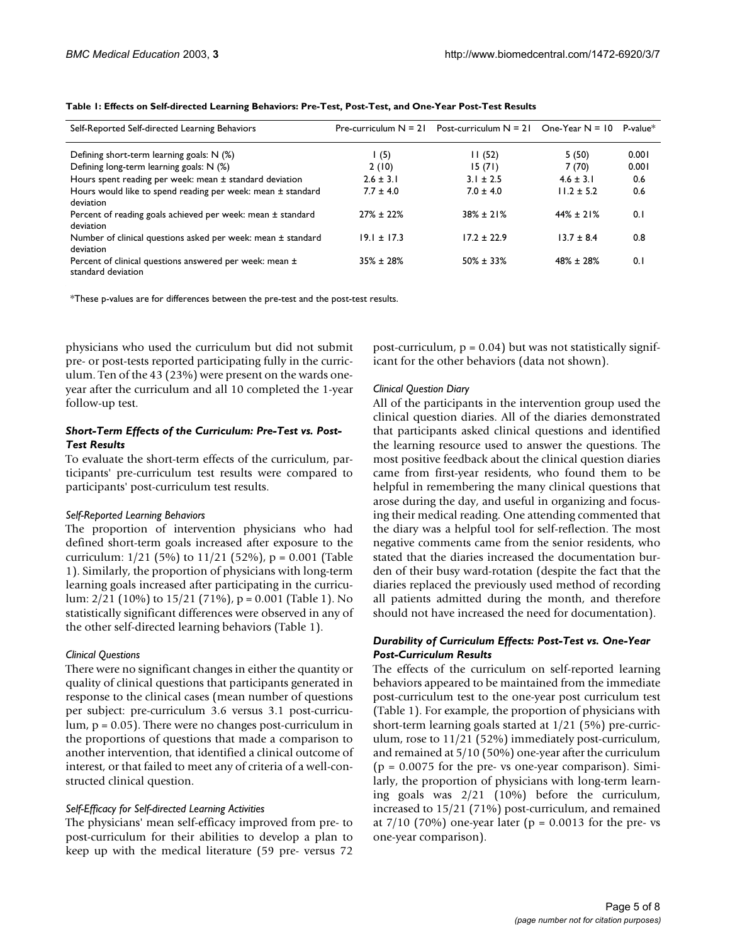| Self-Reported Self-directed Learning Behaviors                                | Pre-curriculum $N = 21$ | Post-curriculum $N = 21$ | One-Year $N = 10$ | $P-value*$ |
|-------------------------------------------------------------------------------|-------------------------|--------------------------|-------------------|------------|
| Defining short-term learning goals: N (%)                                     | 1(5)                    | 11(52)                   | 5(50)             | 0.001      |
| Defining long-term learning goals: N (%)                                      | 2(10)                   | 15(71)                   | 7(70)             | 0.001      |
| Hours spent reading per week: mean ± standard deviation                       | $2.6 \pm 3.1$           | $3.1 \pm 2.5$            | $4.6 \pm 3.1$     | 0.6        |
| Hours would like to spend reading per week: mean ± standard<br>deviation      | $7.7 + 4.0$             | $7.0 \pm 4.0$            | $11.2 + 5.2$      | 0.6        |
| Percent of reading goals achieved per week: mean ± standard<br>deviation      | $27\% \pm 22\%$         | $38\% + 21\%$            | $44\% + 21\%$     | 0.1        |
| Number of clinical questions asked per week: mean ± standard<br>deviation     | $19.1 \pm 17.3$         | $17.2 \pm 22.9$          | $13.7 \pm 8.4$    | 0.8        |
| Percent of clinical questions answered per week: mean ±<br>standard deviation | $35\% \pm 28\%$         | $50\% \pm 33\%$          | $48\% + 28\%$     | 0.1        |

**Table 1: Effects on Self-directed Learning Behaviors: Pre-Test, Post-Test, and One-Year Post-Test Results**

\*These p-values are for differences between the pre-test and the post-test results.

physicians who used the curriculum but did not submit pre- or post-tests reported participating fully in the curriculum. Ten of the 43 (23%) were present on the wards oneyear after the curriculum and all 10 completed the 1-year follow-up test.

# *Short-Term Effects of the Curriculum: Pre-Test vs. Post-Test Results*

To evaluate the short-term effects of the curriculum, participants' pre-curriculum test results were compared to participants' post-curriculum test results.

# *Self-Reported Learning Behaviors*

The proportion of intervention physicians who had defined short-term goals increased after exposure to the curriculum:  $1/21$  (5%) to  $11/21$  (52%), p = 0.001 (Table 1). Similarly, the proportion of physicians with long-term learning goals increased after participating in the curriculum:  $2/21$  (10%) to  $15/21$  (71%), p = 0.001 (Table 1). No statistically significant differences were observed in any of the other self-directed learning behaviors (Table 1).

# *Clinical Questions*

There were no significant changes in either the quantity or quality of clinical questions that participants generated in response to the clinical cases (mean number of questions per subject: pre-curriculum 3.6 versus 3.1 post-curriculum, p = 0.05). There were no changes post-curriculum in the proportions of questions that made a comparison to another intervention, that identified a clinical outcome of interest, or that failed to meet any of criteria of a well-constructed clinical question.

# *Self-Efficacy for Self-directed Learning Activities*

The physicians' mean self-efficacy improved from pre- to post-curriculum for their abilities to develop a plan to keep up with the medical literature (59 pre- versus 72

post-curriculum,  $p = 0.04$ ) but was not statistically significant for the other behaviors (data not shown).

# *Clinical Question Diary*

All of the participants in the intervention group used the clinical question diaries. All of the diaries demonstrated that participants asked clinical questions and identified the learning resource used to answer the questions. The most positive feedback about the clinical question diaries came from first-year residents, who found them to be helpful in remembering the many clinical questions that arose during the day, and useful in organizing and focusing their medical reading. One attending commented that the diary was a helpful tool for self-reflection. The most negative comments came from the senior residents, who stated that the diaries increased the documentation burden of their busy ward-rotation (despite the fact that the diaries replaced the previously used method of recording all patients admitted during the month, and therefore should not have increased the need for documentation).

#### *Durability of Curriculum Effects: Post-Test vs. One-Year Post-Curriculum Results*

The effects of the curriculum on self-reported learning behaviors appeared to be maintained from the immediate post-curriculum test to the one-year post curriculum test (Table 1). For example, the proportion of physicians with short-term learning goals started at 1/21 (5%) pre-curriculum, rose to 11/21 (52%) immediately post-curriculum, and remained at 5/10 (50%) one-year after the curriculum  $(p = 0.0075$  for the pre- vs one-year comparison). Similarly, the proportion of physicians with long-term learning goals was 2/21 (10%) before the curriculum, increased to 15/21 (71%) post-curriculum, and remained at  $7/10$  (70%) one-year later (p = 0.0013 for the pre- vs one-year comparison).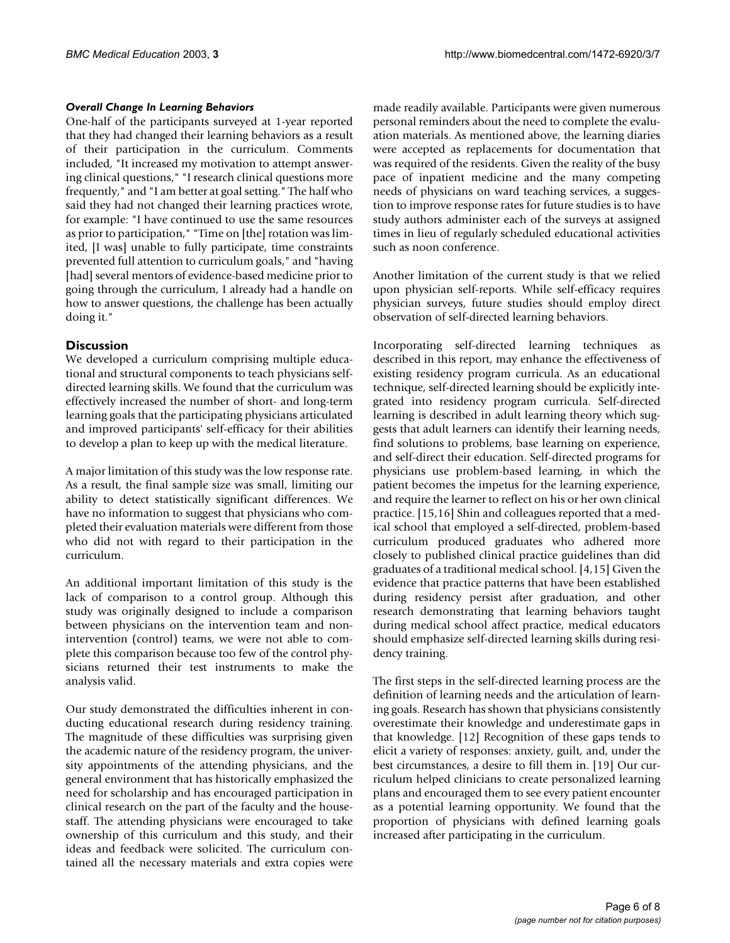# *Overall Change In Learning Behaviors*

One-half of the participants surveyed at 1-year reported that they had changed their learning behaviors as a result of their participation in the curriculum. Comments included, "It increased my motivation to attempt answering clinical questions," "I research clinical questions more frequently," and "I am better at goal setting." The half who said they had not changed their learning practices wrote, for example: "I have continued to use the same resources as prior to participation," "Time on [the] rotation was limited, [I was] unable to fully participate, time constraints prevented full attention to curriculum goals," and "having [had] several mentors of evidence-based medicine prior to going through the curriculum, I already had a handle on how to answer questions, the challenge has been actually doing it."

# **Discussion**

We developed a curriculum comprising multiple educational and structural components to teach physicians selfdirected learning skills. We found that the curriculum was effectively increased the number of short- and long-term learning goals that the participating physicians articulated and improved participants' self-efficacy for their abilities to develop a plan to keep up with the medical literature.

A major limitation of this study was the low response rate. As a result, the final sample size was small, limiting our ability to detect statistically significant differences. We have no information to suggest that physicians who completed their evaluation materials were different from those who did not with regard to their participation in the curriculum.

An additional important limitation of this study is the lack of comparison to a control group. Although this study was originally designed to include a comparison between physicians on the intervention team and nonintervention (control) teams, we were not able to complete this comparison because too few of the control physicians returned their test instruments to make the analysis valid.

Our study demonstrated the difficulties inherent in conducting educational research during residency training. The magnitude of these difficulties was surprising given the academic nature of the residency program, the university appointments of the attending physicians, and the general environment that has historically emphasized the need for scholarship and has encouraged participation in clinical research on the part of the faculty and the housestaff. The attending physicians were encouraged to take ownership of this curriculum and this study, and their ideas and feedback were solicited. The curriculum contained all the necessary materials and extra copies were made readily available. Participants were given numerous personal reminders about the need to complete the evaluation materials. As mentioned above, the learning diaries were accepted as replacements for documentation that was required of the residents. Given the reality of the busy pace of inpatient medicine and the many competing needs of physicians on ward teaching services, a suggestion to improve response rates for future studies is to have study authors administer each of the surveys at assigned times in lieu of regularly scheduled educational activities such as noon conference.

Another limitation of the current study is that we relied upon physician self-reports. While self-efficacy requires physician surveys, future studies should employ direct observation of self-directed learning behaviors.

Incorporating self-directed learning techniques as described in this report, may enhance the effectiveness of existing residency program curricula. As an educational technique, self-directed learning should be explicitly integrated into residency program curricula. Self-directed learning is described in adult learning theory which suggests that adult learners can identify their learning needs, find solutions to problems, base learning on experience, and self-direct their education. Self-directed programs for physicians use problem-based learning, in which the patient becomes the impetus for the learning experience, and require the learner to reflect on his or her own clinical practice. [15,16] Shin and colleagues reported that a medical school that employed a self-directed, problem-based curriculum produced graduates who adhered more closely to published clinical practice guidelines than did graduates of a traditional medical school. [4,15] Given the evidence that practice patterns that have been established during residency persist after graduation, and other research demonstrating that learning behaviors taught during medical school affect practice, medical educators should emphasize self-directed learning skills during residency training.

The first steps in the self-directed learning process are the definition of learning needs and the articulation of learning goals. Research has shown that physicians consistently overestimate their knowledge and underestimate gaps in that knowledge. [12] Recognition of these gaps tends to elicit a variety of responses: anxiety, guilt, and, under the best circumstances, a desire to fill them in. [19] Our curriculum helped clinicians to create personalized learning plans and encouraged them to see every patient encounter as a potential learning opportunity. We found that the proportion of physicians with defined learning goals increased after participating in the curriculum.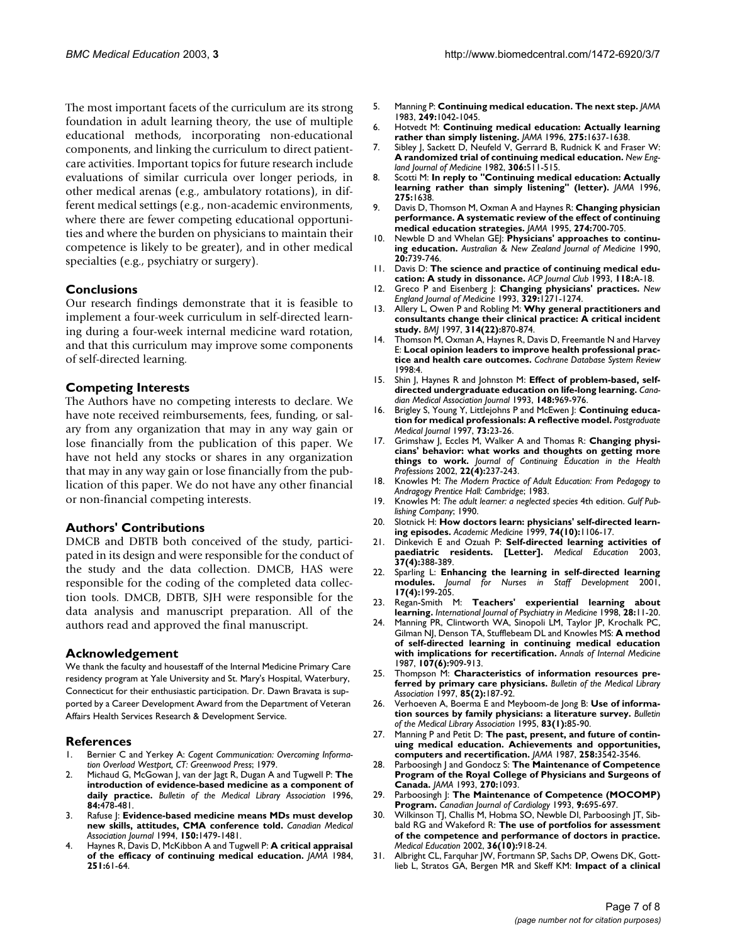The most important facets of the curriculum are its strong foundation in adult learning theory, the use of multiple educational methods, incorporating non-educational components, and linking the curriculum to direct patientcare activities. Important topics for future research include evaluations of similar curricula over longer periods, in other medical arenas (e.g., ambulatory rotations), in different medical settings (e.g., non-academic environments, where there are fewer competing educational opportunities and where the burden on physicians to maintain their competence is likely to be greater), and in other medical specialties (e.g., psychiatry or surgery).

#### **Conclusions**

Our research findings demonstrate that it is feasible to implement a four-week curriculum in self-directed learning during a four-week internal medicine ward rotation, and that this curriculum may improve some components of self-directed learning.

#### **Competing Interests**

The Authors have no competing interests to declare. We have note received reimbursements, fees, funding, or salary from any organization that may in any way gain or lose financially from the publication of this paper. We have not held any stocks or shares in any organization that may in any way gain or lose financially from the publication of this paper. We do not have any other financial or non-financial competing interests.

# **Authors' Contributions**

DMCB and DBTB both conceived of the study, participated in its design and were responsible for the conduct of the study and the data collection. DMCB, HAS were responsible for the coding of the completed data collection tools. DMCB, DBTB, SJH were responsible for the data analysis and manuscript preparation. All of the authors read and approved the final manuscript.

#### **Acknowledgement**

We thank the faculty and housestaff of the Internal Medicine Primary Care residency program at Yale University and St. Mary's Hospital, Waterbury, Connecticut for their enthusiastic participation. Dr. Dawn Bravata is supported by a Career Development Award from the Department of Veteran Affairs Health Services Research & Development Service.

# **References**

- 1. Bernier C and Yerkey A: *Cogent Communication: Overcoming Information Overload Westport, CT: Greenwood Press*; 1979.
- 2. Michaud G, McGowan J, van der Jagt R, Dugan A and Tugwell P: **[The](http://www.ncbi.nlm.nih.gov/entrez/query.fcgi?cmd=Retrieve&db=PubMed&dopt=Abstract&list_uids=8913549) [introduction of evidence-based medicine as a component of](http://www.ncbi.nlm.nih.gov/entrez/query.fcgi?cmd=Retrieve&db=PubMed&dopt=Abstract&list_uids=8913549) [daily practice.](http://www.ncbi.nlm.nih.gov/entrez/query.fcgi?cmd=Retrieve&db=PubMed&dopt=Abstract&list_uids=8913549)** *Bulletin of the Medical Library Association* 1996, **84:**478-481.
- 3. Rafuse J: **[Evidence-based medicine means MDs must develop](http://www.ncbi.nlm.nih.gov/entrez/query.fcgi?cmd=Retrieve&db=PubMed&dopt=Abstract&list_uids=8168014) [new skills, attitudes, CMA conference told.](http://www.ncbi.nlm.nih.gov/entrez/query.fcgi?cmd=Retrieve&db=PubMed&dopt=Abstract&list_uids=8168014)** *Canadian Medical Association Journal* 1994, **150:**1479-1481.
- 4. Haynes R, Davis D, McKibbon A and Tugwell P: **[A critical appraisal](http://www.ncbi.nlm.nih.gov/entrez/query.fcgi?cmd=Retrieve&db=PubMed&dopt=Abstract&list_uids=6690767) [of the efficacy of continuing medical education.](http://www.ncbi.nlm.nih.gov/entrez/query.fcgi?cmd=Retrieve&db=PubMed&dopt=Abstract&list_uids=6690767)** *JAMA* 1984, **251:**61-64.
- 5. Manning P: **[Continuing medical education. The next step.](http://www.ncbi.nlm.nih.gov/entrez/query.fcgi?cmd=Retrieve&db=PubMed&dopt=Abstract&list_uids=6337278)** *JAMA* 1983, **249:**1042-1045.
- 6. Hotvedt M: **[Continuing medical education: Actually learning](http://www.ncbi.nlm.nih.gov/entrez/query.fcgi?cmd=Retrieve&db=PubMed&dopt=Abstract&list_uids=8637134) [rather than simply listening.](http://www.ncbi.nlm.nih.gov/entrez/query.fcgi?cmd=Retrieve&db=PubMed&dopt=Abstract&list_uids=8637134)** *JAMA* 1996, **275:**1637-1638.
- 7. Sibley J, Sackett D, Neufeld V, Gerrard B, Rudnick K and Fraser W: **[A randomized trial of continuing medical education.](http://www.ncbi.nlm.nih.gov/entrez/query.fcgi?cmd=Retrieve&db=PubMed&dopt=Abstract&list_uids=7057858)** *New England Journal of Medicine* 1982, **306:**511-515.
- 8. Scotti M: **[In reply to "Continuing medical education: Actually](http://www.ncbi.nlm.nih.gov/entrez/query.fcgi?cmd=Retrieve&db=PubMed&dopt=Abstract&list_uids=8637135) [learning rather than simply listening" \(letter\).](http://www.ncbi.nlm.nih.gov/entrez/query.fcgi?cmd=Retrieve&db=PubMed&dopt=Abstract&list_uids=8637135)** *JAMA* 1996, **275:**1638.
- 9. Davis D, Thomson M, Oxman A and Haynes R: **[Changing physician](http://www.ncbi.nlm.nih.gov/entrez/query.fcgi?cmd=Retrieve&db=PubMed&dopt=Abstract&list_uids=7650822) [performance. A systematic review of the effect of continuing](http://www.ncbi.nlm.nih.gov/entrez/query.fcgi?cmd=Retrieve&db=PubMed&dopt=Abstract&list_uids=7650822) [medical education strategies.](http://www.ncbi.nlm.nih.gov/entrez/query.fcgi?cmd=Retrieve&db=PubMed&dopt=Abstract&list_uids=7650822)** *JAMA* 1995, **274:**700-705.
- 10. Newble D and Whelan GEJ: **[Physicians' approaches to continu](http://www.ncbi.nlm.nih.gov/entrez/query.fcgi?cmd=Retrieve&db=PubMed&dopt=Abstract&list_uids=2285392)[ing education.](http://www.ncbi.nlm.nih.gov/entrez/query.fcgi?cmd=Retrieve&db=PubMed&dopt=Abstract&list_uids=2285392)** *Australian & New Zealand Journal of Medicine* 1990, **20:**739-746.
- 11. Davis D: **The science and practice of continuing medical education: A study in dissonance.** *ACP Journal Club* 1993, **118:**A-18.
- 12. Greco P and Eisenberg J: **[Changing physicians' practices.](http://www.ncbi.nlm.nih.gov/entrez/query.fcgi?cmd=Retrieve&db=PubMed&dopt=Abstract&list_uids=8413397)** *New England Journal of Medicine* 1993, **329:**1271-1274.
- 13. Allery L, Owen P and Robling M: **[Why general practitioners and](http://www.ncbi.nlm.nih.gov/entrez/query.fcgi?cmd=Retrieve&db=PubMed&dopt=Abstract&list_uids=9093100) [consultants change their clinical practice: A critical incident](http://www.ncbi.nlm.nih.gov/entrez/query.fcgi?cmd=Retrieve&db=PubMed&dopt=Abstract&list_uids=9093100) [study.](http://www.ncbi.nlm.nih.gov/entrez/query.fcgi?cmd=Retrieve&db=PubMed&dopt=Abstract&list_uids=9093100)** *BMJ* 1997, **314(22):**870-874.
- 14. Thomson M, Oxman A, Haynes R, Davis D, Freemantle N and Harvey E: **Local opinion leaders to improve health professional practice and health care outcomes.** *Cochrane Database System Review* 1998:4.
- 15. Shin J, Haynes R and Johnston M: **[Effect of problem-based, self](http://www.ncbi.nlm.nih.gov/entrez/query.fcgi?cmd=Retrieve&db=PubMed&dopt=Abstract&list_uids=8257470)[directed undergraduate education on life-long learning.](http://www.ncbi.nlm.nih.gov/entrez/query.fcgi?cmd=Retrieve&db=PubMed&dopt=Abstract&list_uids=8257470)** *Canadian Medical Association Journal* 1993, **148:**969-976.
- 16. Brigley S, Young Y, Littlejohns P and McEwen J: **[Continuing educa](http://www.ncbi.nlm.nih.gov/entrez/query.fcgi?cmd=Retrieve&db=PubMed&dopt=Abstract&list_uids=9039405)[tion for medical professionals: A reflective model.](http://www.ncbi.nlm.nih.gov/entrez/query.fcgi?cmd=Retrieve&db=PubMed&dopt=Abstract&list_uids=9039405)** *Postgraduate Medical Journal* 1997, **73:**23-26.
- 17. Grimshaw J, Eccles M, Walker A and Thomas R: **[Changing physi](http://www.ncbi.nlm.nih.gov/entrez/query.fcgi?cmd=Retrieve&db=PubMed&dopt=Abstract&list_uids=12613059)[cians' behavior: what works and thoughts on getting more](http://www.ncbi.nlm.nih.gov/entrez/query.fcgi?cmd=Retrieve&db=PubMed&dopt=Abstract&list_uids=12613059) [things to work.](http://www.ncbi.nlm.nih.gov/entrez/query.fcgi?cmd=Retrieve&db=PubMed&dopt=Abstract&list_uids=12613059)** *Journal of Continuing Education in the Health Professions* 2002, **22(4):**237-243.
- 18. Knowles M: *The Modern Practice of Adult Education: From Pedagogy to Andragogy Prentice Hall: Cambridge*; 1983.
- 19. Knowles M: *The adult learner: a neglected species* 4th edition. *Gulf Publishing Company*; 1990.
- 20. Slotnick H: **[How doctors learn: physicians' self-directed learn](http://www.ncbi.nlm.nih.gov/entrez/query.fcgi?cmd=Retrieve&db=PubMed&dopt=Abstract&list_uids=10536633)[ing episodes.](http://www.ncbi.nlm.nih.gov/entrez/query.fcgi?cmd=Retrieve&db=PubMed&dopt=Abstract&list_uids=10536633)** *Academic Medicine* 1999, **74(10):**1106-17.
- 21. Dinkevich E and Ozuah P: **[Self-directed learning activities of](http://www.ncbi.nlm.nih.gov/entrez/query.fcgi?cmd=Retrieve&db=PubMed&dopt=Abstract&list_uids=12654126) [paediatric residents. \[Letter\].](http://www.ncbi.nlm.nih.gov/entrez/query.fcgi?cmd=Retrieve&db=PubMed&dopt=Abstract&list_uids=12654126)** *Medical Education* 2003, **37(4):**388-389.
- 22. Sparling L: **[Enhancing the learning in self-directed learning](http://www.ncbi.nlm.nih.gov/entrez/query.fcgi?cmd=Retrieve&db=PubMed&dopt=Abstract&list_uids=12760003) [modules.](http://www.ncbi.nlm.nih.gov/entrez/query.fcgi?cmd=Retrieve&db=PubMed&dopt=Abstract&list_uids=12760003)** *Journal for Nurses in Staff Development* 2001, **17(4):**199-205.
- 23. Regan-Smith M: **[Teachers' experiential learning about](http://www.ncbi.nlm.nih.gov/entrez/query.fcgi?cmd=Retrieve&db=PubMed&dopt=Abstract&list_uids=9617646) [learning.](http://www.ncbi.nlm.nih.gov/entrez/query.fcgi?cmd=Retrieve&db=PubMed&dopt=Abstract&list_uids=9617646)** *International Journal of Psychiatry in Medicine* 1998, **28:**11-20.
- 24. Manning PR, Clintworth WA, Sinopoli LM, Taylor JP, Krochalk PC, Gilman NJ, Denson TA, Stufflebeam DL and Knowles MS: **[A method](http://www.ncbi.nlm.nih.gov/entrez/query.fcgi?cmd=Retrieve&db=PubMed&dopt=Abstract&list_uids=3688682) [of self-directed learning in continuing medical education](http://www.ncbi.nlm.nih.gov/entrez/query.fcgi?cmd=Retrieve&db=PubMed&dopt=Abstract&list_uids=3688682) [with implications for recertification.](http://www.ncbi.nlm.nih.gov/entrez/query.fcgi?cmd=Retrieve&db=PubMed&dopt=Abstract&list_uids=3688682)** *Annals of Internal Medicine* 1987, **107(6):**909-913.
- 25. Thompson M: **[Characteristics of information resources pre](http://www.ncbi.nlm.nih.gov/entrez/query.fcgi?cmd=Retrieve&db=PubMed&dopt=Abstract&list_uids=9160156)[ferred by primary care physicians.](http://www.ncbi.nlm.nih.gov/entrez/query.fcgi?cmd=Retrieve&db=PubMed&dopt=Abstract&list_uids=9160156)** *Bulletin of the Medical Library Association* 1997, **85(2):**187-92.
- 26. Verhoeven A, Boerma E and Meyboom-de Jong B: **[Use of informa](http://www.ncbi.nlm.nih.gov/entrez/query.fcgi?cmd=Retrieve&db=PubMed&dopt=Abstract&list_uids=7703946)[tion sources by family physicians: a literature survey.](http://www.ncbi.nlm.nih.gov/entrez/query.fcgi?cmd=Retrieve&db=PubMed&dopt=Abstract&list_uids=7703946)** *Bulletin of the Medical Library Association* 1995, **83(1):**85-90.
- 27. Manning P and Petit D: **[The past, present, and future of contin](http://www.ncbi.nlm.nih.gov/entrez/query.fcgi?cmd=Retrieve&db=PubMed&dopt=Abstract&list_uids=3316729)[uing medical education. Achievements and opportunities,](http://www.ncbi.nlm.nih.gov/entrez/query.fcgi?cmd=Retrieve&db=PubMed&dopt=Abstract&list_uids=3316729) [computers and recertification.](http://www.ncbi.nlm.nih.gov/entrez/query.fcgi?cmd=Retrieve&db=PubMed&dopt=Abstract&list_uids=3316729)** *JAMA* 1987, **258:**3542-3546.
- 28. Parboosingh J and Gondocz S: **[The Maintenance of Competence](http://www.ncbi.nlm.nih.gov/entrez/query.fcgi?cmd=Retrieve&db=PubMed&dopt=Abstract&list_uids=8350455) [Program of the Royal College of Physicians and Surgeons of](http://www.ncbi.nlm.nih.gov/entrez/query.fcgi?cmd=Retrieve&db=PubMed&dopt=Abstract&list_uids=8350455) [Canada.](http://www.ncbi.nlm.nih.gov/entrez/query.fcgi?cmd=Retrieve&db=PubMed&dopt=Abstract&list_uids=8350455)** *JAMA* 1993, **270:**1093.
- 29. Parboosingh |: [The Maintenance of Competence \(MOCOMP\)](http://www.ncbi.nlm.nih.gov/entrez/query.fcgi?cmd=Retrieve&db=PubMed&dopt=Abstract&list_uids=8269355) **[Program.](http://www.ncbi.nlm.nih.gov/entrez/query.fcgi?cmd=Retrieve&db=PubMed&dopt=Abstract&list_uids=8269355)** *Canadian Journal of Cardiology* 1993, **9:**695-697.
- 30. Wilkinson TJ, Challis M, Hobma SO, Newble DI, Parboosingh JT, Sibbald RG and Wakeford R: **[The use of portfolios for assessment](http://www.ncbi.nlm.nih.gov/entrez/query.fcgi?cmd=Retrieve&db=PubMed&dopt=Abstract&list_uids=12390458) [of the competence and performance of doctors in practice.](http://www.ncbi.nlm.nih.gov/entrez/query.fcgi?cmd=Retrieve&db=PubMed&dopt=Abstract&list_uids=12390458)** *Medical Education* 2002, **36(10):**918-24.
- 31. Albright CL, Farquhar JW, Fortmann SP, Sachs DP, Owens DK, Gottlieb L, Stratos GA, Bergen MR and Skeff KM: **[Impact of a clinical](http://www.ncbi.nlm.nih.gov/entrez/query.fcgi?cmd=Retrieve&db=PubMed&dopt=Abstract&list_uids=1409485)**